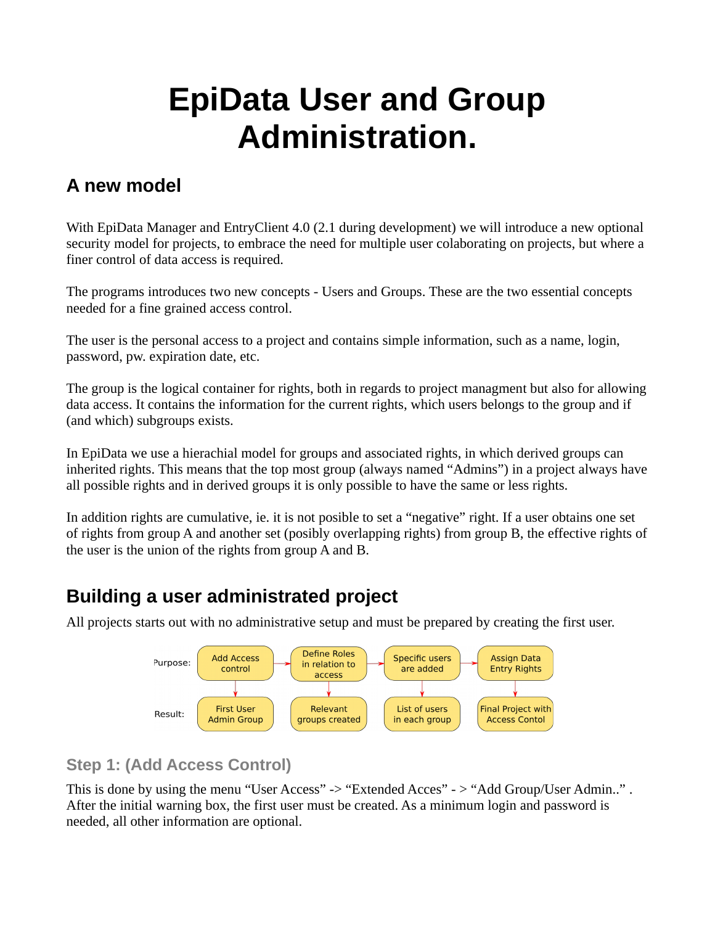# **EpiData User and Group Administration.**

## **A new model**

With EpiData Manager and EntryClient 4.0 (2.1 during development) we will introduce a new optional security model for projects, to embrace the need for multiple user colaborating on projects, but where a finer control of data access is required.

The programs introduces two new concepts - Users and Groups. These are the two essential concepts needed for a fine grained access control.

The user is the personal access to a project and contains simple information, such as a name, login, password, pw. expiration date, etc.

The group is the logical container for rights, both in regards to project managment but also for allowing data access. It contains the information for the current rights, which users belongs to the group and if (and which) subgroups exists.

In EpiData we use a hierachial model for groups and associated rights, in which derived groups can inherited rights. This means that the top most group (always named "Admins") in a project always have all possible rights and in derived groups it is only possible to have the same or less rights.

In addition rights are cumulative, ie. it is not posible to set a "negative" right. If a user obtains one set of rights from group A and another set (posibly overlapping rights) from group B, the effective rights of the user is the union of the rights from group A and B.

# **Building a user administrated project**

All projects starts out with no administrative setup and must be prepared by creating the first user.



### **Step 1: (Add Access Control)**

This is done by using the menu "User Access" -> "Extended Acces" -> "Add Group/User Admin..". After the initial warning box, the first user must be created. As a minimum login and password is needed, all other information are optional.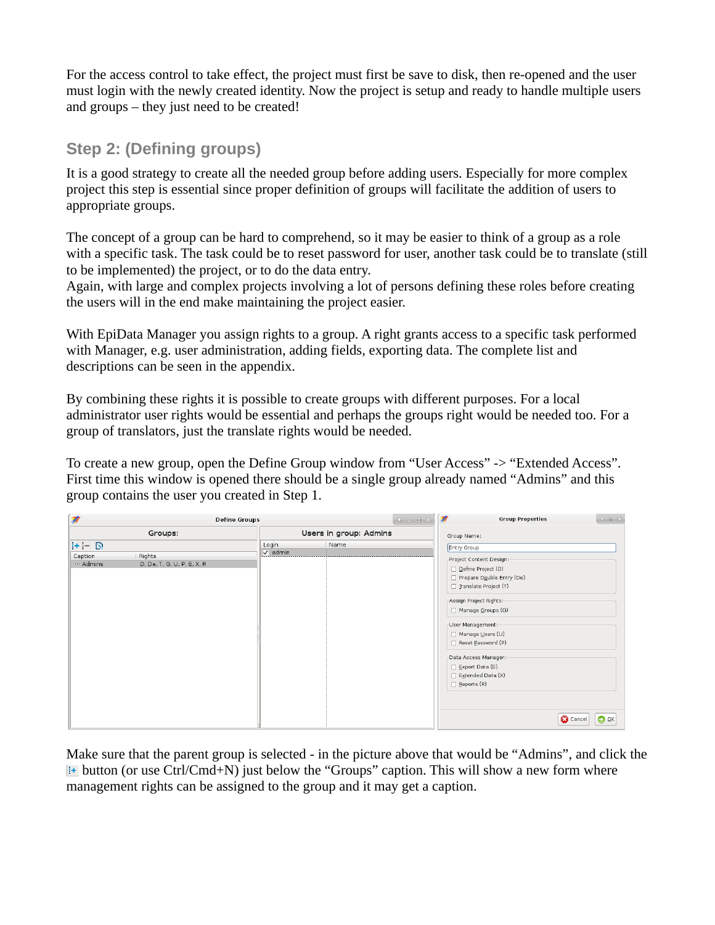For the access control to take effect, the project must first be save to disk, then re-opened and the user must login with the newly created identity. Now the project is setup and ready to handle multiple users and groups – they just need to be created!

#### **Step 2: (Defining groups)**

It is a good strategy to create all the needed group before adding users. Especially for more complex project this step is essential since proper definition of groups will facilitate the addition of users to appropriate groups.

The concept of a group can be hard to comprehend, so it may be easier to think of a group as a role with a specific task. The task could be to reset password for user, another task could be to translate (still to be implemented) the project, or to do the data entry.

Again, with large and complex projects involving a lot of persons defining these roles before creating the users will in the end make maintaining the project easier.

With EpiData Manager you assign rights to a group. A right grants access to a specific task performed with Manager, e.g. user administration, adding fields, exporting data. The complete list and descriptions can be seen in the appendix.

By combining these rights it is possible to create groups with different purposes. For a local administrator user rights would be essential and perhaps the groups right would be needed too. For a group of translators, just the translate rights would be needed.

To create a new group, open the Define Group window from "User Access" -> "Extended Access". First time this window is opened there should be a single group already named "Admins" and this group contains the user you created in Step 1.

| 蒙                                          | <b>Define Groups</b>                 |                          |      | $\circ$ $\circ$ $\circ$ $\otimes$ | 濛<br><b>Group Properties</b>                                                                                                                                                                                                                                                                                         | $\circ$ $\circ$ $\circ$ $\times$ |
|--------------------------------------------|--------------------------------------|--------------------------|------|-----------------------------------|----------------------------------------------------------------------------------------------------------------------------------------------------------------------------------------------------------------------------------------------------------------------------------------------------------------------|----------------------------------|
| Groups:                                    |                                      | Users in group: Admins   |      |                                   | Group Name:                                                                                                                                                                                                                                                                                                          |                                  |
| $ ++ $ $\mathbb{D}$<br>Caption<br>- Admins | Rights<br>D, De, T, G, U, P, E, X, R | Login<br>$\sqrt{}$ admin | Name |                                   | Entry Group<br>Project Content Design:-<br>Define Project (D)<br>Prepare Double Entry (De)<br>Translate Project (T)<br>Assign Project Rights:-<br>Manage Groups (G)<br>-User Management:-<br>Manage Users (U)<br>Reset Password (P)<br>-Data Access Manager:-<br>Export Data (E)<br>Extended Data (X)<br>Beports (R) |                                  |
|                                            |                                      |                          |      |                                   | $OQ$ $QK$<br><b>C</b> Cancel                                                                                                                                                                                                                                                                                         |                                  |

Make sure that the parent group is selected - in the picture above that would be "Admins", and click the **Example 1** button (or use Ctrl/Cmd+N) just below the "Groups" caption. This will show a new form where management rights can be assigned to the group and it may get a caption.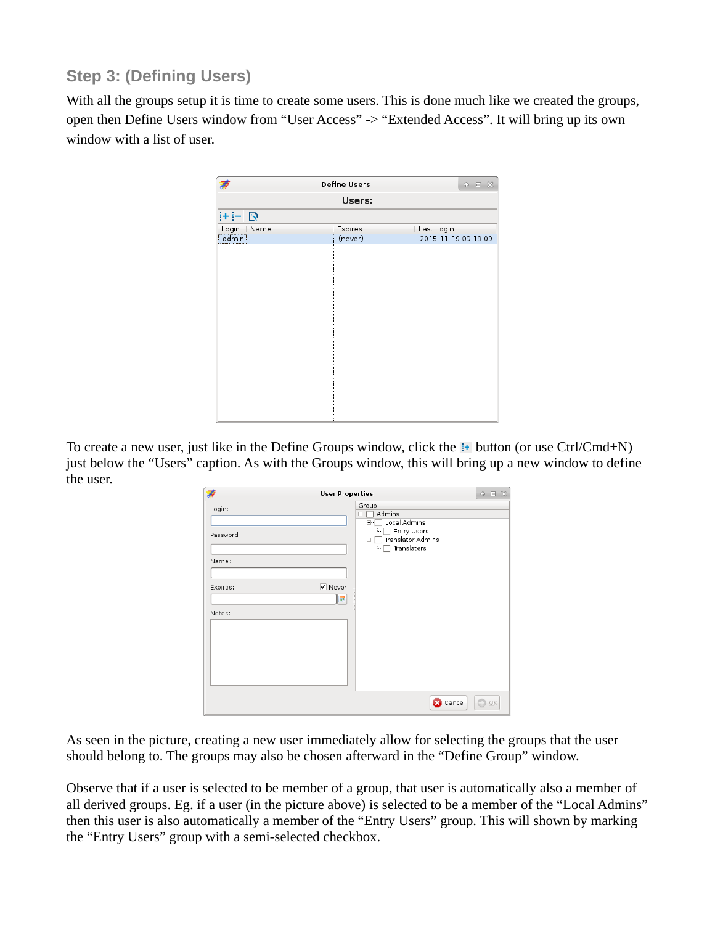### **Step 3: (Defining Users)**

With all the groups setup it is time to create some users. This is done much like we created the groups, open then Define Users window from "User Access" -> "Extended Access". It will bring up its own window with a list of user.

|          | <b>Define Users</b> |         |                     |  |  |  |  |
|----------|---------------------|---------|---------------------|--|--|--|--|
| Users:   |                     |         |                     |  |  |  |  |
| $+ - D $ |                     |         |                     |  |  |  |  |
| Login    | Name                | Expires | Last Login          |  |  |  |  |
| admin    |                     | (never) | 2015-11-19 09:19:09 |  |  |  |  |
|          |                     |         |                     |  |  |  |  |

To create a new user, just like in the Define Groups window, click the  $\frac{1}{12}$  button (or use Ctrl/Cmd+N) just below the "Users" caption. As with the Groups window, this will bring up a new window to define the user.

| <b>User Properties</b>                            |                                                                                                                                                               |               |  |
|---------------------------------------------------|---------------------------------------------------------------------------------------------------------------------------------------------------------------|---------------|--|
| Login:<br>Password<br>Name:<br>Expires:<br>Notes: | Group<br>Admins<br>E-1<br>Local Admins<br>ė-<br>Entry Users<br><b>A</b> <sub>1</sub><br>Translator Admins<br>ė-l<br>Translaters<br>t<br>$\sqrt{ }$ Never<br>團 |               |  |
|                                                   | <b>B</b> Cancel                                                                                                                                               | $\circ$<br>QK |  |

As seen in the picture, creating a new user immediately allow for selecting the groups that the user should belong to. The groups may also be chosen afterward in the "Define Group" window.

Observe that if a user is selected to be member of a group, that user is automatically also a member of all derived groups. Eg. if a user (in the picture above) is selected to be a member of the "Local Admins" then this user is also automatically a member of the "Entry Users" group. This will shown by marking the "Entry Users" group with a semi-selected checkbox.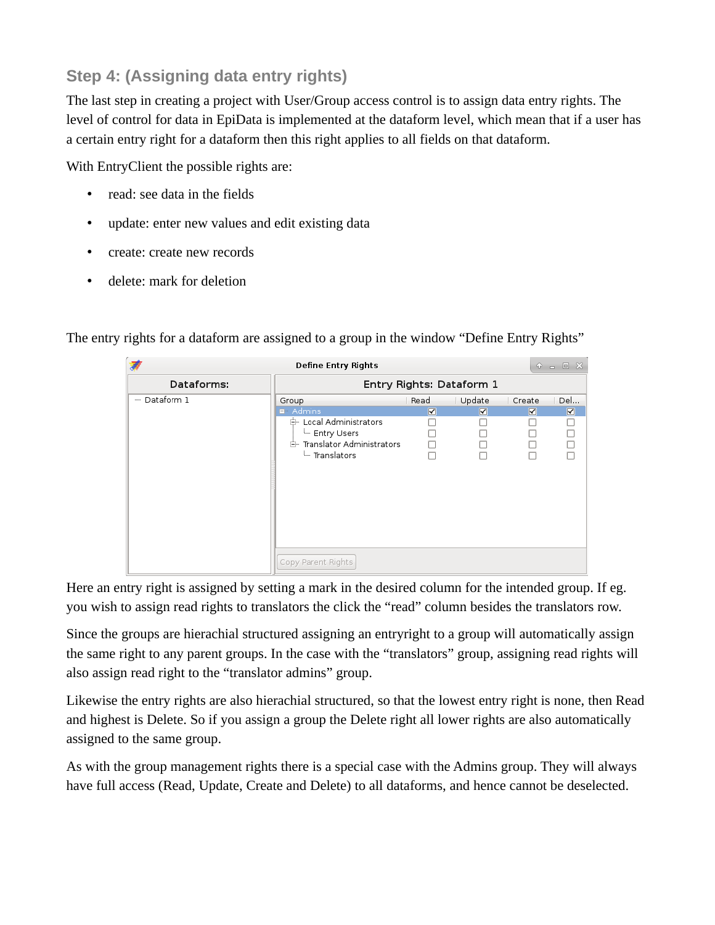## **Step 4: (Assigning data entry rights)**

The last step in creating a project with User/Group access control is to assign data entry rights. The level of control for data in EpiData is implemented at the dataform level, which mean that if a user has a certain entry right for a dataform then this right applies to all fields on that dataform.

With EntryClient the possible rights are:

- read: see data in the fields
- update: enter new values and edit existing data
- create: create new records
- delete: mark for deletion

The entry rights for a dataform are assigned to a group in the window "Define Entry Rights"

| <b>Define Entry Rights</b> |                             |                         |                         |        | $P = P \times$ |
|----------------------------|-----------------------------|-------------------------|-------------------------|--------|----------------|
| Dataforms:                 | Entry Rights: Dataform 1    |                         |                         |        |                |
| - Dataform 1               | Group                       | Read                    | Update                  | Create | Del            |
|                            | $\blacksquare$ Admins       | $\overline{\mathbf{v}}$ | $\overline{\mathbf{v}}$ | V      | $\blacksquare$ |
|                            | E- Local Administrators     |                         |                         |        |                |
|                            | Entry Users                 |                         |                         |        |                |
|                            | 白 Translator Administrators | $\Box$                  |                         |        |                |
|                            | Translators                 |                         |                         |        |                |
|                            |                             |                         |                         |        |                |
|                            |                             |                         |                         |        |                |
|                            |                             |                         |                         |        |                |
|                            |                             |                         |                         |        |                |
|                            |                             |                         |                         |        |                |
|                            |                             |                         |                         |        |                |
|                            |                             |                         |                         |        |                |
|                            |                             |                         |                         |        |                |
|                            | Copy Parent Rights          |                         |                         |        |                |

Here an entry right is assigned by setting a mark in the desired column for the intended group. If eg. you wish to assign read rights to translators the click the "read" column besides the translators row.

Since the groups are hierachial structured assigning an entryright to a group will automatically assign the same right to any parent groups. In the case with the "translators" group, assigning read rights will also assign read right to the "translator admins" group.

Likewise the entry rights are also hierachial structured, so that the lowest entry right is none, then Read and highest is Delete. So if you assign a group the Delete right all lower rights are also automatically assigned to the same group.

As with the group management rights there is a special case with the Admins group. They will always have full access (Read, Update, Create and Delete) to all dataforms, and hence cannot be deselected.